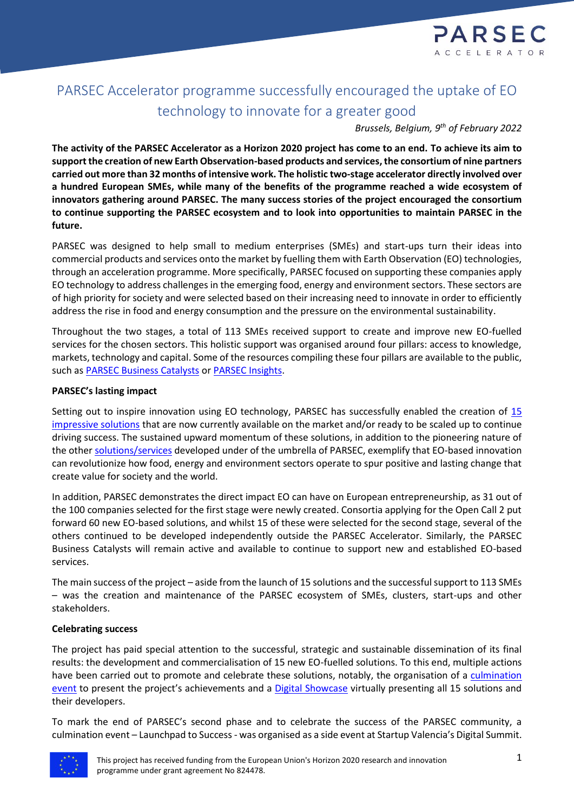

# PARSEC Accelerator programme successfully encouraged the uptake of EO technology to innovate for a greater good

*Brussels, Belgium, 9 th of February 2022*

**The activity of the PARSEC Accelerator as a Horizon 2020 project has come to an end. To achieve its aim to support the creation of new Earth Observation-based products and services, the consortium of nine partners carried out more than 32 months of intensive work. The holistic two-stage accelerator directly involved over a hundred European SMEs, while many of the benefits of the programme reached a wide ecosystem of innovators gathering around PARSEC. The many success stories of the project encouraged the consortium to continue supporting the PARSEC ecosystem and to look into opportunities to maintain PARSEC in the future.**

PARSEC was designed to help small to medium enterprises (SMEs) and start-ups turn their ideas into commercial products and services onto the market by fuelling them with Earth Observation (EO) technologies, through an acceleration programme. More specifically, PARSEC focused on supporting these companies apply EO technology to address challenges in the emerging food, energy and environment sectors. These sectors are of high priority for society and were selected based on their increasing need to innovate in order to efficiently address the rise in food and energy consumption and the pressure on the environmental sustainability.

Throughout the two stages, a total of 113 SMEs received support to create and improve new EO-fuelled services for the chosen sectors. This holistic support was organised around four pillars: access to knowledge, markets, technology and capital. Some of the resources compiling these four pillars are available to the public, such as [PARSEC Business Catalysts](https://parsec-accelerator.eu/business-catalysts/) o[r PARSEC Insights.](https://parsec-accelerator.eu/insights/)

# **PARSEC's lasting impact**

Setting out to inspire innovation using EO technology, PARSEC has successfully enabled the creation of 15 [impressive solutions](https://parsec-accelerator.eu/15parsec/) that are now currently available on the market and/or ready to be scaled up to continue driving success. The sustained upward momentum of these solutions, in addition to the pioneering nature of the othe[r solutions/services](https://parsec-accelerator.eu/100parsec/) developed under of the umbrella of PARSEC, exemplify that EO-based innovation can revolutionize how food, energy and environment sectors operate to spur positive and lasting change that create value for society and the world.

In addition, PARSEC demonstrates the direct impact EO can have on European entrepreneurship, as 31 out of the 100 companies selected for the first stage were newly created. Consortia applying for the Open Call 2 put forward 60 new EO-based solutions, and whilst 15 of these were selected for the second stage, several of the others continued to be developed independently outside the PARSEC Accelerator. Similarly, the PARSEC Business Catalysts will remain active and available to continue to support new and established EO-based services.

The main success of the project – aside from the launch of 15 solutions and the successful support to 113 SMEs – was the creation and maintenance of the PARSEC ecosystem of SMEs, clusters, start-ups and other stakeholders.

# **Celebrating success**

The project has paid special attention to the successful, strategic and sustainable dissemination of its final results: the development and commercialisation of 15 new EO-fuelled solutions. To this end, multiple actions have been carried out to promote and celebrate these solutions, notably, the organisation of a [culmination](https://parsec-accelerator.eu/2021/12/22/how-did-parsec-leverage-eo-to-launch-solutions-driving-success-across-sectors/)  [event](https://parsec-accelerator.eu/2021/12/22/how-did-parsec-leverage-eo-to-launch-solutions-driving-success-across-sectors/) to present the project's achievements and a [Digital Showcase](https://showcase.parsec-accelerator.eu/) virtually presenting all 15 solutions and their developers.

To mark the end of PARSEC's second phase and to celebrate the success of the PARSEC community, a culmination event – Launchpad to Success - was organised as a side event at Startup Valencia's Digital Summit.

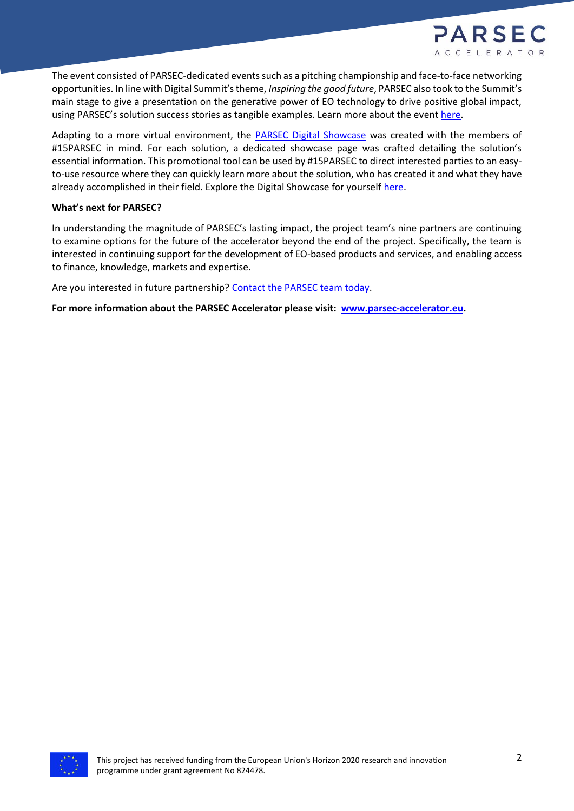

The event consisted of PARSEC-dedicated events such as a pitching championship and face-to-face networking opportunities. In line with Digital Summit's theme, *Inspiring the good future*, PARSEC also took to the Summit's main stage to give a presentation on the generative power of EO technology to drive positive global impact, using PARSEC's solution success stories as tangible examples. Learn more about the event [here.](https://parsec-accelerator.eu/2021/12/22/how-did-parsec-leverage-eo-to-launch-solutions-driving-success-across-sectors/)

Adapting to a more virtual environment, the **PARSEC Digital Showcase** was created with the members of #15PARSEC in mind. For each solution, a dedicated showcase page was crafted detailing the solution's essential information. This promotional tool can be used by #15PARSEC to direct interested parties to an easyto-use resource where they can quickly learn more about the solution, who has created it and what they have already accomplished in their field. Explore the Digital Showcase for yourself [here.](https://showcase.parsec-accelerator.eu/)

## **What's next for PARSEC?**

In understanding the magnitude of PARSEC's lasting impact, the project team's nine partners are continuing to examine options for the future of the accelerator beyond the end of the project. Specifically, the team is interested in continuing support for the development of EO-based products and services, and enabling access to finance, knowledge, markets and expertise.

Are you interested in future partnership[? Contact the PARSEC team today.](https://parsec-accelerator.eu/contact/)

**For more information about the PARSEC Accelerator please visit: [www.parsec-accelerator.eu.](http://www.parsec-accelerator.eu/)**